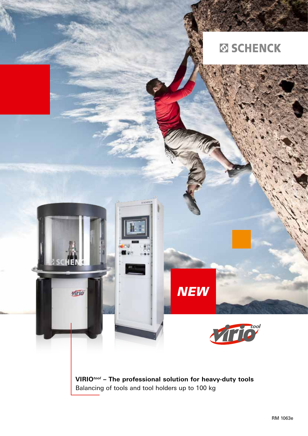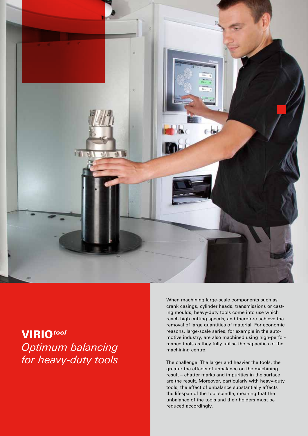

## Virio*tool Optimum balancing for heavy-duty tools*

When machining large-scale components such as crank casings, cylinder heads, transmissions or casting moulds, heavy-duty tools come into use which reach high cutting speeds, and therefore achieve the removal of large quantities of material. For economic reasons, large-scale series, for example in the automotive industry, are also machined using high-performance tools as they fully utilise the capacities of the machining centre.

The challenge: The larger and heavier the tools, the greater the effects of unbalance on the machining result – chatter marks and impurities in the surface are the result. Moreover, particularly with heavy-duty tools, the effect of unbalance substantially affects the lifespan of the tool spindle, meaning that the unbalance of the tools and their holders must be reduced accordingly.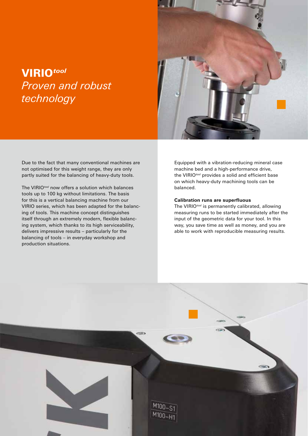## Virio*tool Proven and robust technology*

Due to the fact that many conventional machines are not optimised for this weight range, they are only partly suited for the balancing of heavy-duty tools.

The VIRIO*tool* now offers a solution which balances tools up to 100 kg without limitations. The basis for this is a vertical balancing machine from our VIRIO series, which has been adapted for the balancing of tools. This machine concept distinguishes itself through an extremely modern, flexible balancing system, which thanks to its high serviceability, delivers impressive results – particularly for the balancing of tools – in everyday workshop and production situations.



Equipped with a vibration-reducing mineral case machine bed and a high-performance drive, the VIRIO*tool* provides a solid and efficient base on which heavy-duty machining tools can be balanced.

#### **Calibration runs are superfluous**

The VIRIO*tool* is permanently calibrated, allowing measuring runs to be started immediately after the input of the geometric data for your tool. In this way, you save time as well as money, and you are able to work with reproducible measuring results.

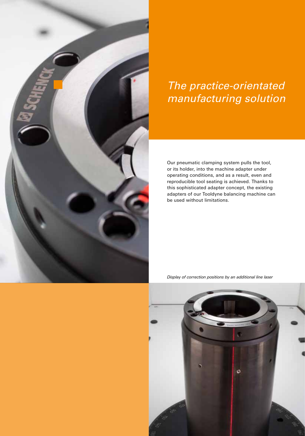

# The practice-orientated manufacturing solution

Our pneumatic clamping system pulls the tool, or its holder, into the machine adapter under operating conditions, and as a result, even and reproducible tool seating is achieved. Thanks to this sophisticated adapter concept, the existing adapters of our Tooldyne balancing machine can be used without limitations.

*Display of correction positions by an additional line laser*

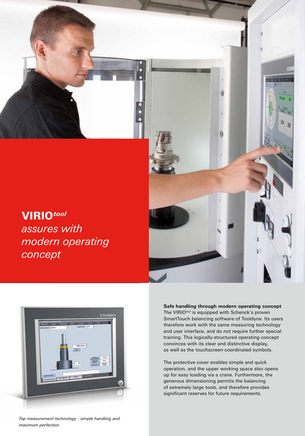

## Virio*tool*

*assures with modern operating concept*





#### **Safe handling through modern operating concept**

The VIRIO*tool* is equipped with Schenck's proven SmartTouch balancing software of Tooldyne. Its users therefore work with the same measuring technology and user interface, and do not require further special training. This logically-structured operating concept convinces with its clear and distinctive display, as well as the touchscreen-coordinated symbols.

The protective cover enables simple and quick operation, and the upper working space also opens up for easy loading via a crane. Furthermore, the generous dimensioning permits the balancing of extremely large tools, and therefore provides significant reserves for future requirements.

*Top measurement technology - simple handling and maximum perfection*